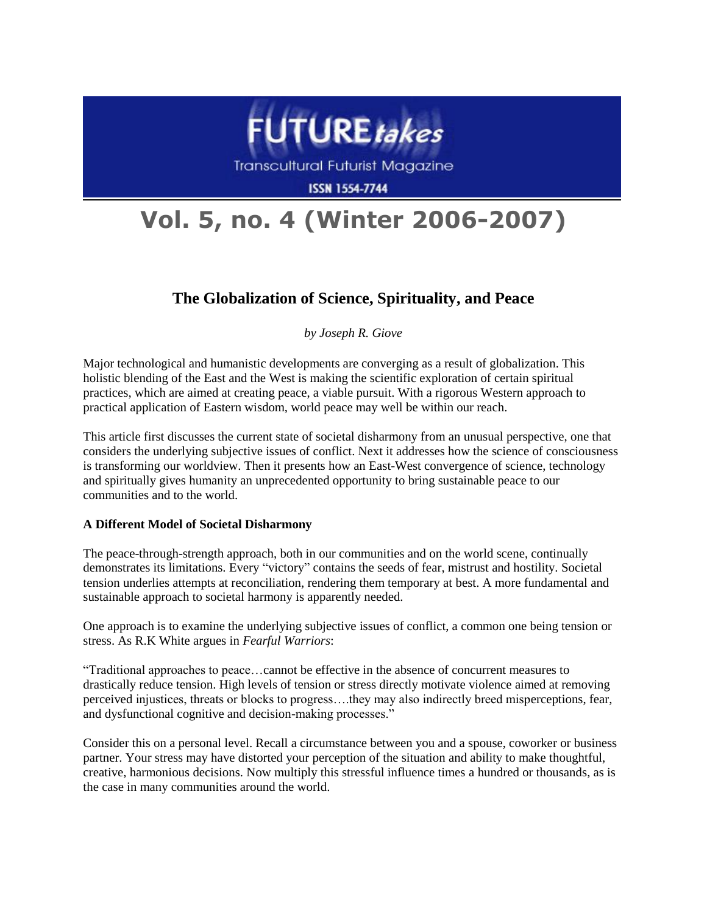

**Transcultural Futurist Magazine** 

**ISSN 1554-7744** 

# **Vol. 5, no. 4 (Winter 2006-2007)**

## **The Globalization of Science, Spirituality, and Peace**

*by Joseph R. Giove*

Major technological and humanistic developments are converging as a result of globalization. This holistic blending of the East and the West is making the scientific exploration of certain spiritual practices, which are aimed at creating peace, a viable pursuit. With a rigorous Western approach to practical application of Eastern wisdom, world peace may well be within our reach.

This article first discusses the current state of societal disharmony from an unusual perspective, one that considers the underlying subjective issues of conflict. Next it addresses how the science of consciousness is transforming our worldview. Then it presents how an East-West convergence of science, technology and spiritually gives humanity an unprecedented opportunity to bring sustainable peace to our communities and to the world.

### **A Different Model of Societal Disharmony**

The peace-through-strength approach, both in our communities and on the world scene, continually demonstrates its limitations. Every "victory" contains the seeds of fear, mistrust and hostility. Societal tension underlies attempts at reconciliation, rendering them temporary at best. A more fundamental and sustainable approach to societal harmony is apparently needed.

One approach is to examine the underlying subjective issues of conflict, a common one being tension or stress. As R.K White argues in *Fearful Warriors*:

―Traditional approaches to peace…cannot be effective in the absence of concurrent measures to drastically reduce tension. High levels of tension or stress directly motivate violence aimed at removing perceived injustices, threats or blocks to progress….they may also indirectly breed misperceptions, fear, and dysfunctional cognitive and decision-making processes."

Consider this on a personal level. Recall a circumstance between you and a spouse, coworker or business partner. Your stress may have distorted your perception of the situation and ability to make thoughtful, creative, harmonious decisions. Now multiply this stressful influence times a hundred or thousands, as is the case in many communities around the world.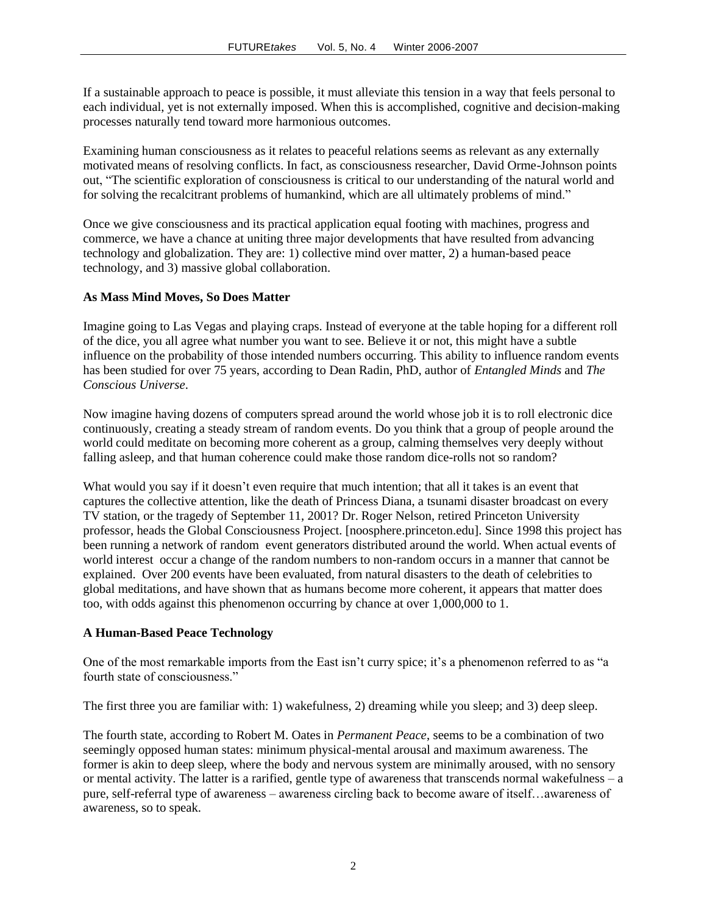If a sustainable approach to peace is possible, it must alleviate this tension in a way that feels personal to each individual, yet is not externally imposed. When this is accomplished, cognitive and decision-making processes naturally tend toward more harmonious outcomes.

Examining human consciousness as it relates to peaceful relations seems as relevant as any externally motivated means of resolving conflicts. In fact, as consciousness researcher, David Orme-Johnson points out, ―The scientific exploration of consciousness is critical to our understanding of the natural world and for solving the recalcitrant problems of humankind, which are all ultimately problems of mind."

Once we give consciousness and its practical application equal footing with machines, progress and commerce, we have a chance at uniting three major developments that have resulted from advancing technology and globalization. They are: 1) collective mind over matter, 2) a human-based peace technology, and 3) massive global collaboration.

#### **As Mass Mind Moves, So Does Matter**

Imagine going to Las Vegas and playing craps. Instead of everyone at the table hoping for a different roll of the dice, you all agree what number you want to see. Believe it or not, this might have a subtle influence on the probability of those intended numbers occurring. This ability to influence random events has been studied for over 75 years, according to Dean Radin, PhD, author of *Entangled Minds* and *The Conscious Universe*.

Now imagine having dozens of computers spread around the world whose job it is to roll electronic dice continuously, creating a steady stream of random events. Do you think that a group of people around the world could meditate on becoming more coherent as a group, calming themselves very deeply without falling asleep, and that human coherence could make those random dice-rolls not so random?

What would you say if it doesn't even require that much intention; that all it takes is an event that captures the collective attention, like the death of Princess Diana, a tsunami disaster broadcast on every TV station, or the tragedy of September 11, 2001? Dr. Roger Nelson, retired Princeton University professor, heads the Global Consciousness Project. [noosphere.princeton.edu]. Since 1998 this project has been running a network of random event generators distributed around the world. When actual events of world interest occur a change of the random numbers to non-random occurs in a manner that cannot be explained. Over 200 events have been evaluated, from natural disasters to the death of celebrities to global meditations, and have shown that as humans become more coherent, it appears that matter does too, with odds against this phenomenon occurring by chance at over 1,000,000 to 1.

#### **A Human-Based Peace Technology**

One of the most remarkable imports from the East isn't curry spice; it's a phenomenon referred to as "a fourth state of consciousness."

The first three you are familiar with: 1) wakefulness, 2) dreaming while you sleep; and 3) deep sleep.

The fourth state, according to Robert M. Oates in *Permanent Peace*, seems to be a combination of two seemingly opposed human states: minimum physical-mental arousal and maximum awareness. The former is akin to deep sleep, where the body and nervous system are minimally aroused, with no sensory or mental activity. The latter is a rarified, gentle type of awareness that transcends normal wakefulness – a pure, self-referral type of awareness – awareness circling back to become aware of itself…awareness of awareness, so to speak.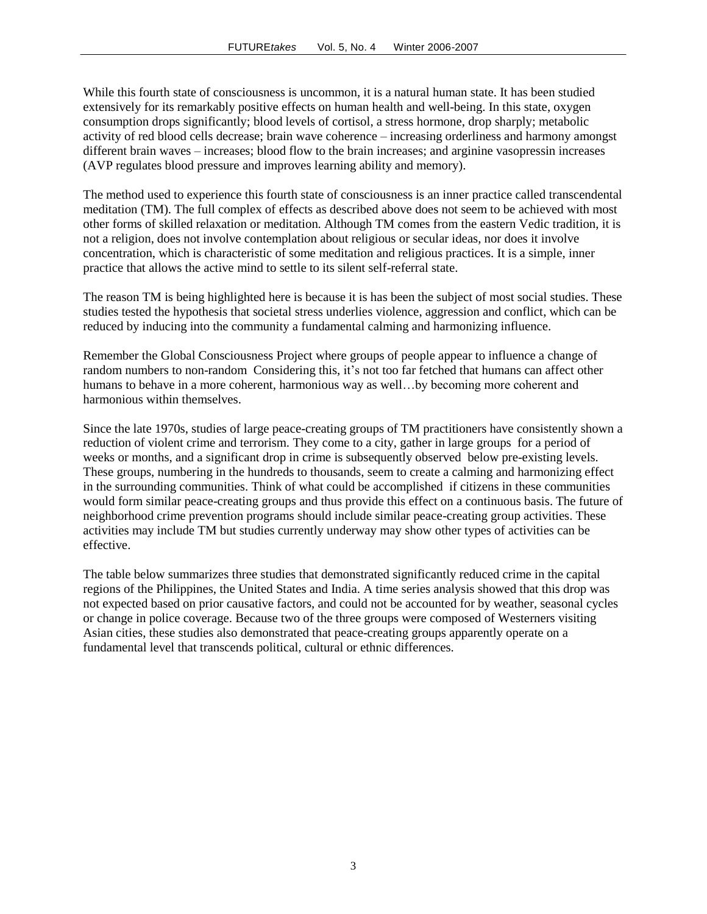While this fourth state of consciousness is uncommon, it is a natural human state. It has been studied extensively for its remarkably positive effects on human health and well-being. In this state, oxygen consumption drops significantly; blood levels of cortisol, a stress hormone, drop sharply; metabolic activity of red blood cells decrease; brain wave coherence – increasing orderliness and harmony amongst different brain waves – increases; blood flow to the brain increases; and arginine vasopressin increases (AVP regulates blood pressure and improves learning ability and memory).

The method used to experience this fourth state of consciousness is an inner practice called transcendental meditation (TM). The full complex of effects as described above does not seem to be achieved with most other forms of skilled relaxation or meditation. Although TM comes from the eastern Vedic tradition, it is not a religion, does not involve contemplation about religious or secular ideas, nor does it involve concentration, which is characteristic of some meditation and religious practices. It is a simple, inner practice that allows the active mind to settle to its silent self-referral state.

The reason TM is being highlighted here is because it is has been the subject of most social studies. These studies tested the hypothesis that societal stress underlies violence, aggression and conflict, which can be reduced by inducing into the community a fundamental calming and harmonizing influence.

Remember the Global Consciousness Project where groups of people appear to influence a change of random numbers to non-random Considering this, it's not too far fetched that humans can affect other humans to behave in a more coherent, harmonious way as well...by becoming more coherent and harmonious within themselves.

Since the late 1970s, studies of large peace-creating groups of TM practitioners have consistently shown a reduction of violent crime and terrorism. They come to a city, gather in large groups for a period of weeks or months, and a significant drop in crime is subsequently observed below pre-existing levels. These groups, numbering in the hundreds to thousands, seem to create a calming and harmonizing effect in the surrounding communities. Think of what could be accomplished if citizens in these communities would form similar peace-creating groups and thus provide this effect on a continuous basis. The future of neighborhood crime prevention programs should include similar peace-creating group activities. These activities may include TM but studies currently underway may show other types of activities can be effective.

The table below summarizes three studies that demonstrated significantly reduced crime in the capital regions of the Philippines, the United States and India. A time series analysis showed that this drop was not expected based on prior causative factors, and could not be accounted for by weather, seasonal cycles or change in police coverage. Because two of the three groups were composed of Westerners visiting Asian cities, these studies also demonstrated that peace-creating groups apparently operate on a fundamental level that transcends political, cultural or ethnic differences.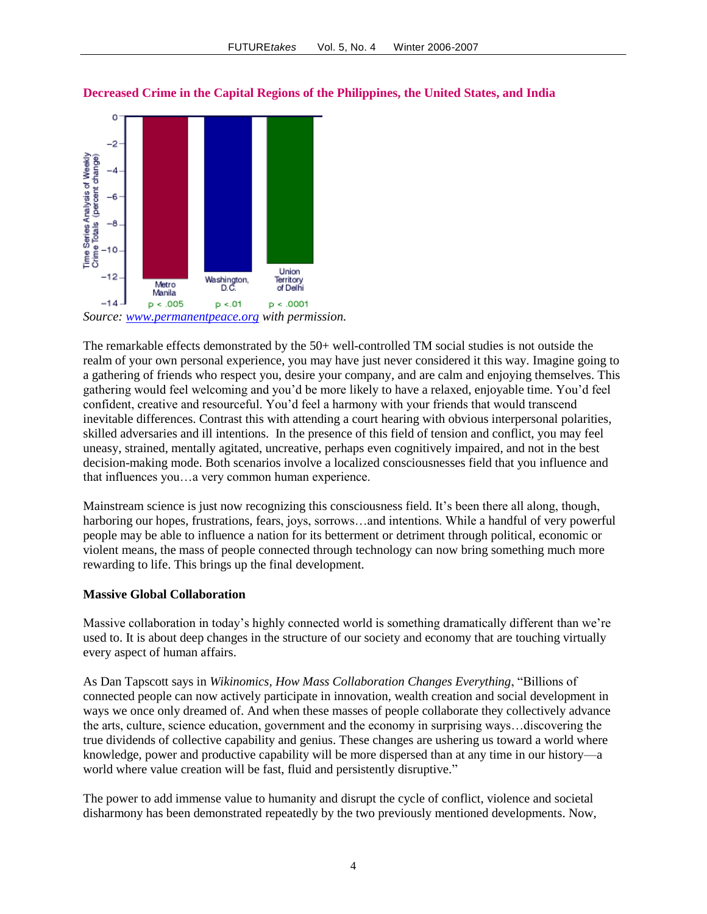

**Decreased Crime in the Capital Regions of the Philippines, the United States, and India**

*Source: [www.permanentpeace.org](http://www.permanentpeace.org/) with permission.*

The remarkable effects demonstrated by the 50+ well-controlled TM social studies is not outside the realm of your own personal experience, you may have just never considered it this way. Imagine going to a gathering of friends who respect you, desire your company, and are calm and enjoying themselves. This gathering would feel welcoming and you'd be more likely to have a relaxed, enjoyable time. You'd feel confident, creative and resourceful. You'd feel a harmony with your friends that would transcend inevitable differences. Contrast this with attending a court hearing with obvious interpersonal polarities, skilled adversaries and ill intentions. In the presence of this field of tension and conflict, you may feel uneasy, strained, mentally agitated, uncreative, perhaps even cognitively impaired, and not in the best decision-making mode. Both scenarios involve a localized consciousnesses field that you influence and that influences you…a very common human experience.

Mainstream science is just now recognizing this consciousness field. It's been there all along, though, harboring our hopes, frustrations, fears, joys, sorrows…and intentions. While a handful of very powerful people may be able to influence a nation for its betterment or detriment through political, economic or violent means, the mass of people connected through technology can now bring something much more rewarding to life. This brings up the final development.

#### **Massive Global Collaboration**

Massive collaboration in today's highly connected world is something dramatically different than we're used to. It is about deep changes in the structure of our society and economy that are touching virtually every aspect of human affairs.

As Dan Tapscott says in *Wikinomics, How Mass Collaboration Changes Everything*, "Billions of connected people can now actively participate in innovation, wealth creation and social development in ways we once only dreamed of. And when these masses of people collaborate they collectively advance the arts, culture, science education, government and the economy in surprising ways…discovering the true dividends of collective capability and genius. These changes are ushering us toward a world where knowledge, power and productive capability will be more dispersed than at any time in our history—a world where value creation will be fast, fluid and persistently disruptive."

The power to add immense value to humanity and disrupt the cycle of conflict, violence and societal disharmony has been demonstrated repeatedly by the two previously mentioned developments. Now,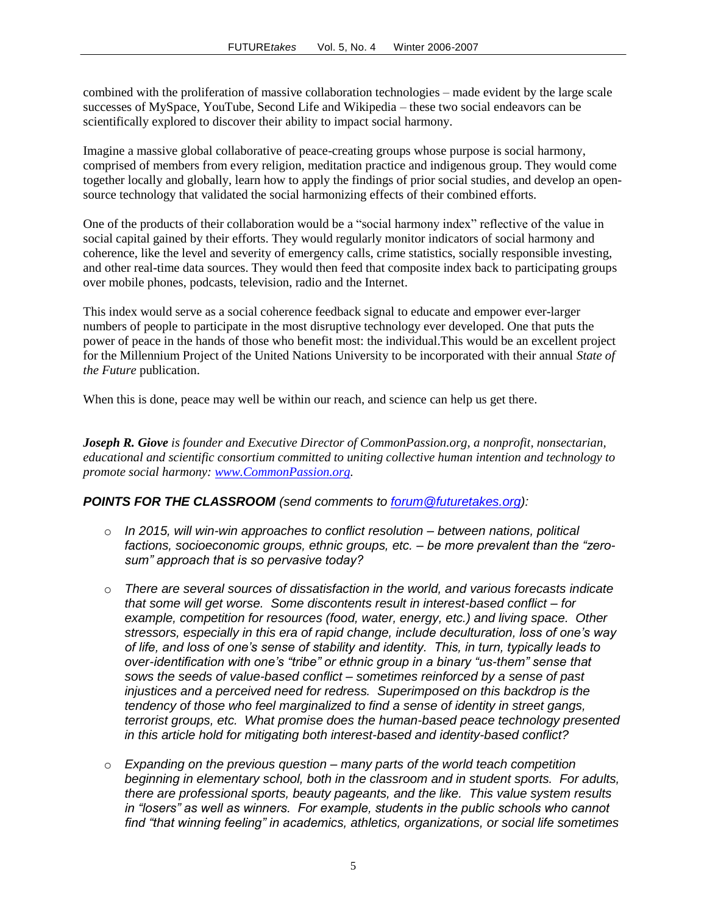combined with the proliferation of massive collaboration technologies – made evident by the large scale successes of MySpace, YouTube, Second Life and Wikipedia – these two social endeavors can be scientifically explored to discover their ability to impact social harmony.

Imagine a massive global collaborative of peace-creating groups whose purpose is social harmony, comprised of members from every religion, meditation practice and indigenous group. They would come together locally and globally, learn how to apply the findings of prior social studies, and develop an opensource technology that validated the social harmonizing effects of their combined efforts.

One of the products of their collaboration would be a "social harmony index" reflective of the value in social capital gained by their efforts. They would regularly monitor indicators of social harmony and coherence, like the level and severity of emergency calls, crime statistics, socially responsible investing, and other real-time data sources. They would then feed that composite index back to participating groups over mobile phones, podcasts, television, radio and the Internet.

This index would serve as a social coherence feedback signal to educate and empower ever-larger numbers of people to participate in the most disruptive technology ever developed. One that puts the power of peace in the hands of those who benefit most: the individual.This would be an excellent project for the Millennium Project of the United Nations University to be incorporated with their annual *State of the Future* publication.

When this is done, peace may well be within our reach, and science can help us get there.

*Joseph R. Giove is founder and Executive Director of CommonPassion.org, a nonprofit, nonsectarian, educational and scientific consortium committed to uniting collective human intention and technology to promote social harmony: [www.CommonPassion.org.](http://www.commonpassion.org/)*

#### *POINTS FOR THE CLASSROOM (send comments to [forum@futuretakes.org\)](mailto:forum@futuretakes.org):*

- o *In 2015, will win-win approaches to conflict resolution – between nations, political factions, socioeconomic groups, ethnic groups, etc. – be more prevalent than the "zerosum" approach that is so pervasive today?*
- o *There are several sources of dissatisfaction in the world, and various forecasts indicate that some will get worse. Some discontents result in interest-based conflict – for example, competition for resources (food, water, energy, etc.) and living space. Other stressors, especially in this era of rapid change, include deculturation, loss of one's way of life, and loss of one's sense of stability and identity. This, in turn, typically leads to over-identification with one's "tribe" or ethnic group in a binary "us-them" sense that sows the seeds of value-based conflict – sometimes reinforced by a sense of past injustices and a perceived need for redress. Superimposed on this backdrop is the tendency of those who feel marginalized to find a sense of identity in street gangs, terrorist groups, etc. What promise does the human-based peace technology presented in this article hold for mitigating both interest-based and identity-based conflict?*
- o *Expanding on the previous question – many parts of the world teach competition beginning in elementary school, both in the classroom and in student sports. For adults, there are professional sports, beauty pageants, and the like. This value system results in "losers" as well as winners. For example, students in the public schools who cannot find "that winning feeling" in academics, athletics, organizations, or social life sometimes*